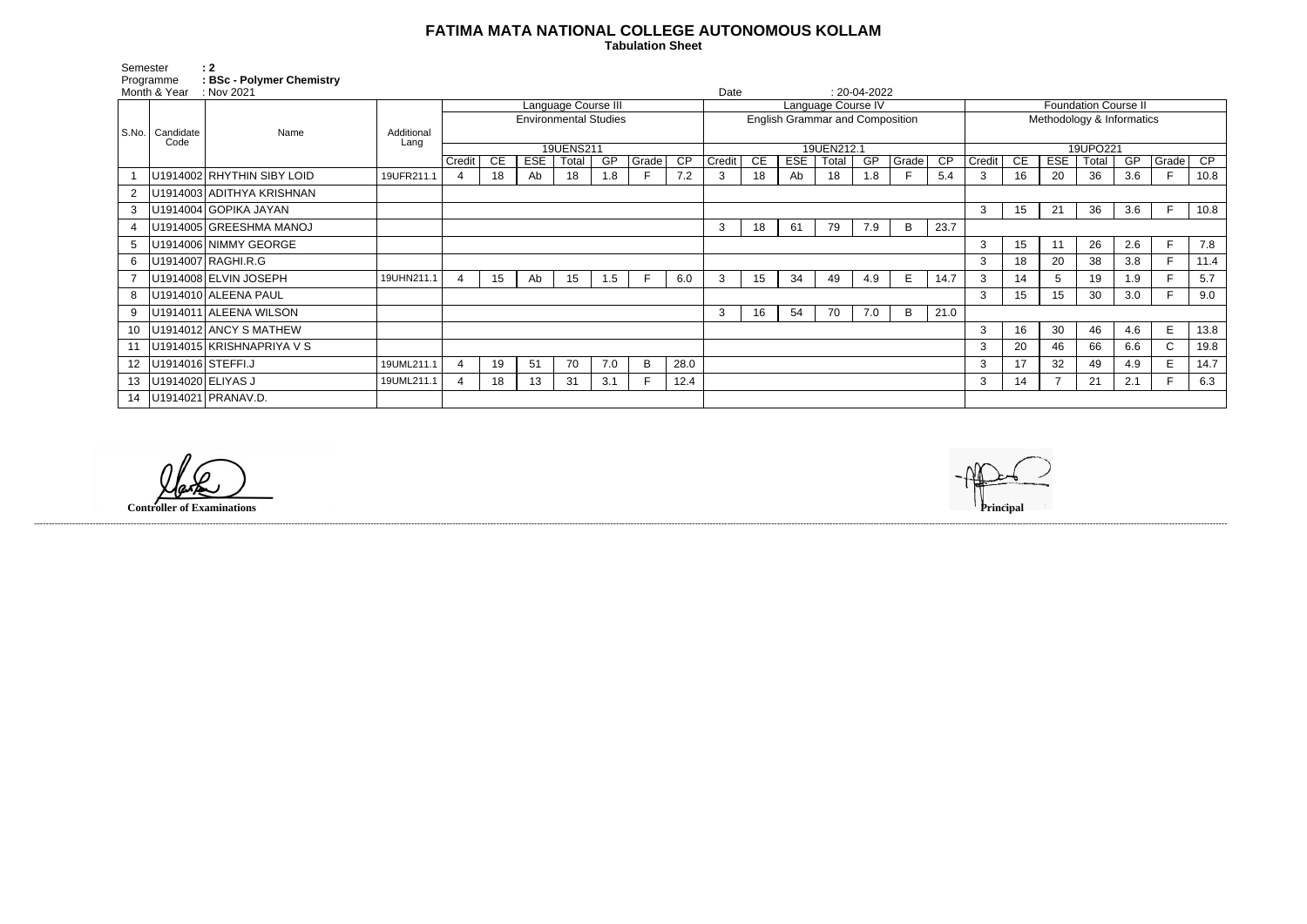## **FATIMA MATA NATIONAL COLLEGE AUTONOMOUS KOLLAM**

 **Tabulation Sheet** 

| Semester                  |                   | $\therefore$ 2                               |                    |                              |    |            |       |     |       |                                              |        |    |            |       |           |       |                             |          |                 |            |       |     |              |      |
|---------------------------|-------------------|----------------------------------------------|--------------------|------------------------------|----|------------|-------|-----|-------|----------------------------------------------|--------|----|------------|-------|-----------|-------|-----------------------------|----------|-----------------|------------|-------|-----|--------------|------|
| Programme<br>Month & Year |                   | <b>BSc - Polymer Chemistry</b><br>: Nov 2021 |                    |                              |    |            |       |     |       |                                              |        |    |            |       |           |       |                             |          |                 |            |       |     |              |      |
|                           |                   |                                              |                    | Language Course III          |    |            |       |     |       | Date<br>$: 20-04-2022$<br>Language Course IV |        |    |            |       |           |       | <b>Foundation Course II</b> |          |                 |            |       |     |              |      |
|                           |                   | Name                                         |                    | <b>Environmental Studies</b> |    |            |       |     |       | <b>English Grammar and Composition</b>       |        |    |            |       |           |       | Methodology & Informatics   |          |                 |            |       |     |              |      |
| S.No.                     | Candidate<br>Code |                                              | Additional<br>Lang |                              |    |            |       |     |       |                                              |        |    |            |       |           |       |                             |          |                 |            |       |     |              |      |
|                           |                   |                                              |                    | 19UENS211                    |    |            |       |     |       | 19UEN212.1                                   |        |    |            |       |           |       |                             | 19UPO221 |                 |            |       |     |              |      |
|                           |                   |                                              |                    | Credit                       | CE | <b>ESE</b> | Total | GP  | Grade | CP                                           | Credit | CE | <b>ESE</b> | Total | <b>GP</b> | Grade | $\overline{CP}$             | Credit   | CE              | <b>ESE</b> | Total | GP  | Grade        | CP   |
|                           |                   | U1914002 RHYTHIN SIBY LOID                   | 19UFR211.1         |                              | 18 | Ab         | 18    | 1.8 |       | 7.2                                          | 3      | 18 | Ab         | 18    | 1.8       |       | 5.4                         | 3        | 16              | 20         | 36    | 3.6 |              | 10.8 |
|                           |                   | U1914003 ADITHYA KRISHNAN                    |                    |                              |    |            |       |     |       |                                              |        |    |            |       |           |       |                             |          |                 |            |       |     |              |      |
| 3                         |                   | U1914004 GOPIKA JAYAN                        |                    |                              |    |            |       |     |       |                                              |        |    |            |       |           |       |                             | 3        | 15              | 21         | 36    | 3.6 | F.           | 10.8 |
|                           |                   | U1914005 GREESHMA MANOJ                      |                    |                              |    |            |       |     |       |                                              | 3      | 18 | -61        | 79    | 7.9       | B     | 23.7                        |          |                 |            |       |     |              |      |
| 5                         |                   | U1914006 NIMMY GEORGE                        |                    |                              |    |            |       |     |       |                                              |        |    |            |       |           |       |                             | 3        | 15              | 11         | 26    | 2.6 | F            | 7.8  |
| 6                         |                   | U1914007 RAGHI.R.G                           |                    |                              |    |            |       |     |       |                                              |        |    |            |       |           |       |                             | 3        | 18              | 20         | 38    | 3.8 | F.           | 11.4 |
|                           |                   | U1914008 ELVIN JOSEPH                        | 19UHN211.1         | $\overline{4}$               | 15 | Ab         | 15    | 1.5 |       | 6.0                                          | 3      | 15 | 34         | 49    | 4.9       | E     | 14.7                        | 3        | 14              | .5         | 19    | 1.9 | F            | 5.7  |
| 8                         |                   | U1914010 ALEENA PAUL                         |                    |                              |    |            |       |     |       |                                              |        |    |            |       |           |       |                             | 3        | 15 <sub>1</sub> | 15         | 30    | 3.0 |              | 9.0  |
| 9                         |                   | U1914011 ALEENA WILSON                       |                    |                              |    |            |       |     |       |                                              | 3      | 16 | 54         | 70    | 7.0       | B     | 21.0                        |          |                 |            |       |     |              |      |
| 10                        |                   | U1914012 ANCY S MATHEW                       |                    |                              |    |            |       |     |       |                                              |        |    |            |       |           |       |                             | 3        | 16              | 30         | 46    | 4.6 | E            | 13.8 |
|                           |                   | U1914015 KRISHNAPRIYA V S                    |                    |                              |    |            |       |     |       |                                              |        |    |            |       |           |       |                             | 3        | 20              | 46         | 66    | 6.6 | $\mathsf{C}$ | 19.8 |
| 12 <sup>12</sup>          | U1914016 STEFFI.J |                                              | 19UML211.1         | $\boldsymbol{\Delta}$        | 19 | 51         | 70    | 7.0 | B     | 28.0                                         |        |    |            |       |           |       |                             | 3        | 17              | 32         | 49    | 4.9 | E            | 14.7 |
| 13 <sup>°</sup>           | U1914020 ELIYAS J |                                              | 19UML211.1         |                              | 18 | 13         | 31    | 3.1 |       | 12.4                                         |        |    |            |       |           |       |                             | 3        | 14              |            | 21    | 2.1 |              | 6.3  |
| 14                        |                   | U1914021 PRANAV.D.                           |                    |                              |    |            |       |     |       |                                              |        |    |            |       |           |       |                             |          |                 |            |       |     |              |      |

**Controller of Examinations Principal**



------------------------------------------------------------------------------------------------------------------------------------------------------------------------------------------------------------------------------------------------------------------------------------------------------------------------------------------------------------------------------------------------------------------------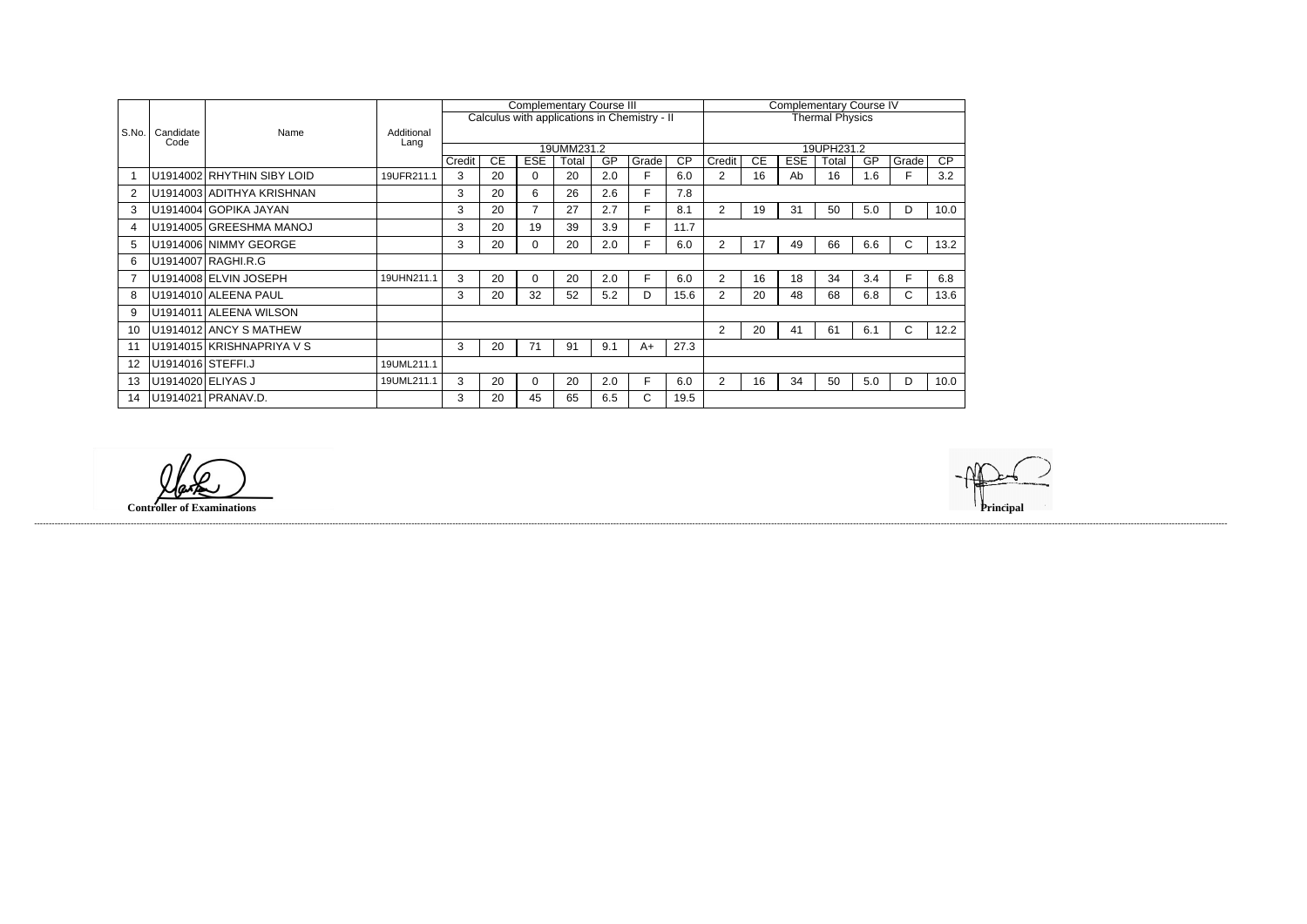|                |                   |                            |                    |            |    | <b>Complementary Course III</b> |       |     | <b>Complementary Course IV</b>               |                        |                |    |            |       |     |       |                 |  |
|----------------|-------------------|----------------------------|--------------------|------------|----|---------------------------------|-------|-----|----------------------------------------------|------------------------|----------------|----|------------|-------|-----|-------|-----------------|--|
|                |                   |                            | Additional<br>Lang |            |    |                                 |       |     | Calculus with applications in Chemistry - II | <b>Thermal Physics</b> |                |    |            |       |     |       |                 |  |
| S.No.          | Candidate<br>Code | Name                       |                    |            |    |                                 |       |     |                                              |                        |                |    |            |       |     |       |                 |  |
|                |                   |                            |                    | 19UMM231.2 |    |                                 |       |     |                                              |                        |                |    | 19UPH231.2 |       |     |       |                 |  |
|                |                   |                            |                    | Credit     | CЕ | <b>ESE</b>                      | Total | GP  | Grade                                        | <b>CP</b>              | Credit         | СE | <b>ESE</b> | Total | GP  | Grade | $\overline{CP}$ |  |
|                |                   | U1914002 RHYTHIN SIBY LOID | 19UFR211.1         | 3          | 20 | 0                               | 20    | 2.0 |                                              | 6.0                    | 2              | 16 | Ab         | 16    | 1.6 |       | 3.2             |  |
| $\overline{2}$ |                   | U1914003 ADITHYA KRISHNAN  |                    | 3          | 20 | 6                               | 26    | 2.6 | F.                                           | 7.8                    |                |    |            |       |     |       |                 |  |
| 3              |                   | U1914004 GOPIKA JAYAN      |                    | 3          | 20 | 7                               | 27    | 2.7 | F.                                           | 8.1                    | $\overline{2}$ | 19 | 31         | 50    | 5.0 | D     | 10.0            |  |
| 4              |                   | U1914005 GREESHMA MANOJ    |                    | 3          | 20 | 19                              | 39    | 3.9 | F.                                           | 11.7                   |                |    |            |       |     |       |                 |  |
| 5              |                   | U1914006 NIMMY GEORGE      |                    | 3          | 20 | 0                               | 20    | 2.0 | F.                                           | 6.0                    | $\overline{2}$ | 17 | 49         | 66    | 6.6 | C     | 13.2            |  |
| 6              |                   | U1914007 RAGHI.R.G         |                    |            |    |                                 |       |     |                                              |                        |                |    |            |       |     |       |                 |  |
|                |                   | U1914008 ELVIN JOSEPH      | 19UHN211.1         | 3          | 20 | 0                               | 20    | 2.0 | F.                                           | 6.0                    | $\overline{2}$ | 16 | 18         | 34    | 3.4 | F.    | 6.8             |  |
| 8              |                   | U1914010 ALEENA PAUL       |                    | 3          | 20 | 32                              | 52    | 5.2 | D                                            | 15.6                   | 2              | 20 | 48         | 68    | 6.8 | C.    | 13.6            |  |
| 9              |                   | U1914011 ALEENA WILSON     |                    |            |    |                                 |       |     |                                              |                        |                |    |            |       |     |       |                 |  |
| 10             |                   | U1914012 ANCY S MATHEW     |                    |            |    |                                 |       |     |                                              |                        | $\overline{2}$ | 20 | 41         | 61    | 6.1 | C.    | 12.2            |  |
| 11             |                   | U1914015 KRISHNAPRIYA V S  |                    | 3          | 20 | 71                              | 91    | 9.1 | $A+$                                         | 27.3                   |                |    |            |       |     |       |                 |  |
| 12             | U1914016 STEFFI.J |                            | 19UML211.1         |            |    |                                 |       |     |                                              |                        |                |    |            |       |     |       |                 |  |
| 13             | U1914020 ELIYAS J |                            | 19UML211.1         | 3          | 20 | 0                               | 20    | 2.0 | F.                                           | 6.0                    | 2              | 16 | 34         | 50    | 5.0 | D     | 10.0            |  |
| 14             |                   | U1914021 PRANAV.D.         |                    | 3          | 20 | 45                              | 65    | 6.5 | C.                                           | 19.5                   |                |    |            |       |     |       |                 |  |

**Controller of Examinations Principal**



------------------------------------------------------------------------------------------------------------------------------------------------------------------------------------------------------------------------------------------------------------------------------------------------------------------------------------------------------------------------------------------------------------------------